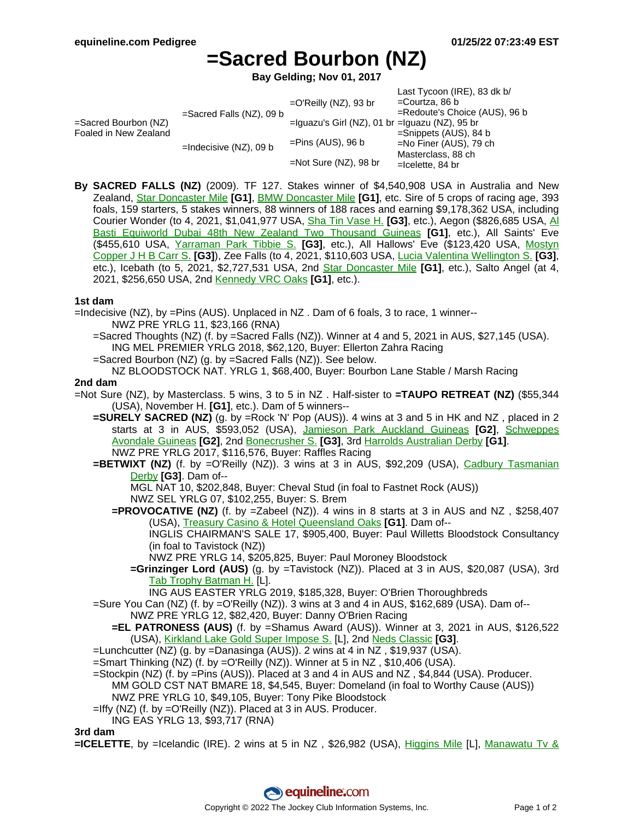$L$ oot Tycoon (IDE), 82 dk b/

# **=Sacred Bourbon (NZ)**

**Bay Gelding; Nov 01, 2017**

|                                                  |                             |                                                      | LASI TVCOON (IRE), OS UK D/      |
|--------------------------------------------------|-----------------------------|------------------------------------------------------|----------------------------------|
| $=$ Sacred Bourbon (NZ)<br>Foaled in New Zealand | $=$ Sacred Falls (NZ), 09 b | $=$ O'Reilly (NZ), 93 br                             | =Courtza, 86 b                   |
|                                                  |                             |                                                      | $=$ Redoute's Choice (AUS), 96 b |
|                                                  |                             | $=$ Iguazu's Girl (NZ), 01 br $=$ Iguazu (NZ), 95 br |                                  |
|                                                  | $=$ Indecisive (NZ), 09 b   | $=$ Pins (AUS), 96 b                                 | $=$ Snippets (AUS), 84 b         |
|                                                  |                             |                                                      | $=$ No Finer (AUS), 79 ch        |
|                                                  |                             | $=$ Not Sure (NZ), 98 br                             | Masterclass, 88 ch               |
|                                                  |                             |                                                      | $=$ Icelette, 84 br              |

**By SACRED FALLS (NZ)** (2009). TF 127. Stakes winner of \$4,540,908 USA in Australia and New Zealand, Star [Doncaster](https://www.equineline.com/dotVideoChart.cfm?track=RAN&country=AUS&race_date=2014-04-12&refno=8809261®istry=T&race_name=Star+Doncaster+Mile&race_number=8&day_evening=D&product_reference_number=40PA) Mile **[G1]**, BMW [Doncaster](https://www.equineline.com/dotVideoChart.cfm?track=RAN&country=AUS&race_date=2013-04-20&refno=8809261®istry=T&race_name=BMW+Doncaster+Mile&race_number=8&day_evening=D&product_reference_number=40PA) Mile **[G1]**, etc. Sire of 5 crops of racing age, 393 foals, 159 starters, 5 stakes winners, 88 winners of 188 races and earning \$9,178,362 USA, including Courier Wonder (to 4, 2021, \$1,041,977 USA, Sha Tin [Vase](https://www.equineline.com/dotVideoChart.cfm?track=ST+&country=HK+&race_date=2021-05-23&refno=10408230®istry=T&race_name=Sha+Tin+Vase+H.&race_number=692&day_evening=D&product_reference_number=40PA) H. **[G3]**, etc.), Aegon (\$826,685 USA, [Al](https://www.equineline.com/dotVideoChart.cfm?track=RIC&country=NZ+&race_date=2020-11-07&refno=10408236®istry=T&race_name=Al+Basti+Equiworld+Dubai+48th+New+Zealand+Two+Thousand+Guineas&race_number=8&day_evening=D&product_reference_number=40PA) Basti Equiworld Dubai 48th New Zealand Two [Thousand](https://www.equineline.com/dotVideoChart.cfm?track=RIC&country=NZ+&race_date=2020-11-07&refno=10408236®istry=T&race_name=Al+Basti+Equiworld+Dubai+48th+New+Zealand+Two+Thousand+Guineas&race_number=8&day_evening=D&product_reference_number=40PA) Guineas **[G1]**, etc.), All Saints' Eve (\$455,610 USA, [Yarraman](https://www.equineline.com/dotVideoChart.cfm?track=ANC&country=AUS&race_date=2020-09-18&refno=10246506®istry=T&race_name=Yarraman+Park+Tibbie+S.&race_number=7&day_evening=D&product_reference_number=40PA) Park Tibbie S. **[G3]**, etc.), All Hallows' Eve (\$123,420 USA, Mostyn [Copper](https://www.equineline.com/dotVideoChart.cfm?track=RAN&country=AUS&race_date=2021-04-24&refno=10408255®istry=T&race_name=Mostyn+Copper+J+H+B+Carr+S.&race_number=2&day_evening=D&product_reference_number=40PA) J H B Carr S. **[G3]**), Zee Falls (to 4, 2021, \$110,603 USA, Lucia Valentina [Wellington](https://www.equineline.com/dotVideoChart.cfm?track=OKI&country=NZ+&race_date=2020-11-26&refno=10408256®istry=T&race_name=Lucia+Valentina+Wellington+S.&race_number=8&day_evening=D&product_reference_number=40PA) S. **[G3]**, etc.), Icebath (to 5, 2021, \$2,727,531 USA, 2nd Star [Doncaster](https://www.equineline.com/dotVideoChart.cfm?track=RAN&country=AUS&race_date=2021-04-10&refno=10246290®istry=T&race_name=Star+Doncaster+Mile&race_number=9&day_evening=D&product_reference_number=40PA) Mile **[G1]**, etc.), Salto Angel (at 4, 2021, \$256,650 USA, 2nd [Kennedy](https://www.equineline.com/dotVideoChart.cfm?track=FLE&country=AUS&race_date=2020-11-05&refno=10408172®istry=T&race_name=Kennedy+VRC+Oaks&race_number=8&day_evening=D&product_reference_number=40PA) VRC Oaks **[G1]**, etc.).

## **1st dam**

=Indecisive (NZ), by =Pins (AUS). Unplaced in NZ . Dam of 6 foals, 3 to race, 1 winner-- NWZ PRE YRLG 11, \$23,166 (RNA)

- =Sacred Thoughts (NZ) (f. by =Sacred Falls (NZ)). Winner at 4 and 5, 2021 in AUS, \$27,145 (USA). ING MEL PREMIER YRLG 2018, \$62,120, Buyer: Ellerton Zahra Racing
- =Sacred Bourbon (NZ) (g. by =Sacred Falls (NZ)). See below.

#### NZ BLOODSTOCK NAT. YRLG 1, \$68,400, Buyer: Bourbon Lane Stable / Marsh Racing **2nd dam**

- =Not Sure (NZ), by Masterclass. 5 wins, 3 to 5 in NZ . Half-sister to **=TAUPO RETREAT (NZ)** (\$55,344 (USA), November H. **[G1]**, etc.). Dam of 5 winners--
	- **=SURELY SACRED (NZ)** (g. by =Rock 'N' Pop (AUS)). 4 wins at 3 and 5 in HK and NZ , placed in 2 starts at 3 in AUS, \$593,052 (USA), Jamieson Park [Auckland](https://www.equineline.com/dotVideoChart.cfm?track=ELL&country=NZ+&race_date=2019-01-01&refno=10051169®istry=T&race_name=Jamieson+Park+Auckland+Guineas&race_number=4&day_evening=D&product_reference_number=40PA) Guineas **[G2]**, Schwepp[es](https://www.equineline.com/dotVideoChart.cfm?track=ELL&country=NZ+&race_date=2019-02-16&refno=10051169®istry=T&race_name=Schweppes+Avondale+Guineas&race_number=6&day_evening=D&product_reference_number=40PA) [Avondale](https://www.equineline.com/dotVideoChart.cfm?track=ELL&country=NZ+&race_date=2019-02-16&refno=10051169®istry=T&race_name=Schweppes+Avondale+Guineas&race_number=6&day_evening=D&product_reference_number=40PA) Guineas **[G2]**, 2nd [Bonecrusher](https://www.equineline.com/dotVideoChart.cfm?track=ELL&country=NZ+&race_date=2018-12-08&refno=10051169®istry=T&race_name=Bonecrusher+S.&race_number=6&day_evening=D&product_reference_number=40PA) S. **[G3]**, 3rd Harrolds [Australian](https://www.equineline.com/dotVideoChart.cfm?track=RAN&country=AUS&race_date=2019-04-06&refno=10051169®istry=T&race_name=Harrolds+Australian+Derby&race_number=7&day_evening=D&product_reference_number=40PA) Derby **[G1]**. NWZ PRE YRLG 2017, \$116,576, Buyer: Raffles Racing
	- **=BETWIXT (NZ)** (f. by =O'Reilly (NZ)). 3 wins at 3 in AUS, \$92,209 (USA), Cadbury [Tasmanian](https://www.equineline.com/dotVideoChart.cfm?track=HOB&country=AUS&race_date=2009-01-31&refno=8126500®istry=T&race_name=Cadbury+Tasmanian+Derby&race_number=8&day_evening=D&product_reference_number=40PA) [Derby](https://www.equineline.com/dotVideoChart.cfm?track=HOB&country=AUS&race_date=2009-01-31&refno=8126500®istry=T&race_name=Cadbury+Tasmanian+Derby&race_number=8&day_evening=D&product_reference_number=40PA) **[G3]**. Dam of--

MGL NAT 10, \$202,848, Buyer: Cheval Stud (in foal to Fastnet Rock (AUS))

- NWZ SEL YRLG 07, \$102,255, Buyer: S. Brem
- **=PROVOCATIVE (NZ)** (f. by =Zabeel (NZ)). 4 wins in 8 starts at 3 in AUS and NZ , \$258,407 (USA), Treasury Casino & Hotel [Queensland](https://www.equineline.com/dotVideoChart.cfm?track=EF+&country=AUS&race_date=2016-06-11&refno=9472512®istry=T&race_name=Treasury+Casino+&+Hotel+Queensland+Oaks&race_number=10&day_evening=D&product_reference_number=40PA) Oaks **[G1]**. Dam of--

INGLIS CHAIRMAN'S SALE 17, \$905,400, Buyer: Paul Willetts Bloodstock Consultancy (in foal to Tavistock (NZ))

- NWZ PRE YRLG 14, \$205,825, Buyer: Paul Moroney Bloodstock
- **=Grinzinger Lord (AUS)** (g. by =Tavistock (NZ)). Placed at 3 in AUS, \$20,087 (USA), 3rd Tab Trophy [Batman](https://www.equineline.com/dotVideoChart.cfm?track=FLE&country=AUS&race_date=2020-11-03&refno=10350991®istry=T&race_name=Tab+Trophy+Batman+H.&race_number=5&day_evening=D&product_reference_number=40PA) H. [L].

ING AUS EASTER YRLG 2019, \$185,328, Buyer: O'Brien Thoroughbreds

- =Sure You Can (NZ) (f. by =O'Reilly (NZ)). 3 wins at 3 and 4 in AUS, \$162,689 (USA). Dam of--
	- NWZ PRE YRLG 12, \$82,420, Buyer: Danny O'Brien Racing
	- **=EL PATRONESS (AUS)** (f. by =Shamus Award (AUS)). Winner at 3, 2021 in AUS, \$126,522 (USA), [Kirkland](https://www.equineline.com/dotVideoChart.cfm?track=FLE&country=AUS&race_date=2021-10-02&refno=10501645®istry=T&race_name=Kirkland+Lake+Gold+Super+Impose+S.&race_number=2&day_evening=D&product_reference_number=40PA) Lake Gold Super Impose S. [L], 2nd Neds [Classic](https://www.equineline.com/dotVideoChart.cfm?track=CAU&country=AUS&race_date=2021-10-16&refno=10501645®istry=T&race_name=Neds+Classic&race_number=5&day_evening=D&product_reference_number=40PA) **[G3]**.
- =Lunchcutter (NZ) (g. by =Danasinga (AUS)). 2 wins at 4 in NZ , \$19,937 (USA).
- =Smart Thinking (NZ) (f. by =O'Reilly (NZ)). Winner at 5 in NZ , \$10,406 (USA).
- =Stockpin (NZ) (f. by =Pins (AUS)). Placed at 3 and 4 in AUS and NZ , \$4,844 (USA). Producer. MM GOLD CST NAT BMARE 18, \$4,545, Buyer: Domeland (in foal to Worthy Cause (AUS))
- NWZ PRE YRLG 10, \$49,105, Buyer: Tony Pike Bloodstock
- =Iffy (NZ) (f. by =O'Reilly (NZ)). Placed at 3 in AUS. Producer.
- ING EAS YRLG 13, \$93,717 (RNA)

**3rd dam**

**=ICELETTE**, by =Icelandic (IRE). 2 wins at 5 in NZ, \$26,982 (USA), Higgins [Mile](https://www.equineline.com/dotVideoChart.cfm?track=AWA&country=NZ+&race_date=1990-03-24&refno=1558417®istry=T&race_name=Higgins+Mile&race_number=64708&day_evening=D&product_reference_number=40PA) [L], Manawatu Tv &